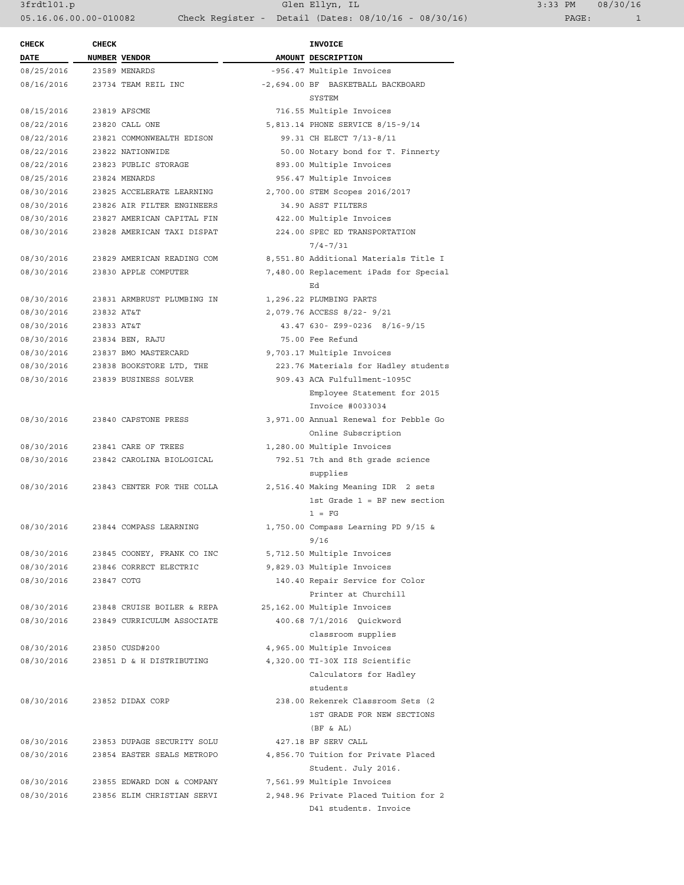3frdtl01.p Glen Ellyn, IL 3:33 PM 08/30/16 05.16.06.00.00-010082 Check Register - Detail (Dates: 08/10/16 - 08/30/16) PAGE: 1

| <b>CHECK</b>               | <b>CHECK</b> |                                 | <b>INVOICE</b>                                 |
|----------------------------|--------------|---------------------------------|------------------------------------------------|
| DATE                       |              | NUMBER VENDOR                   | AMOUNT DESCRIPTION                             |
| 08/25/2016                 |              | 23589 MENARDS                   | -956.47 Multiple Invoices                      |
| 08/16/2016                 |              | 23734 TEAM REIL INC             | -2,694.00 BF BASKETBALL BACKBOARD              |
|                            |              |                                 | SYSTEM                                         |
| 08/15/2016                 |              | 23819 AFSCME                    | 716.55 Multiple Invoices                       |
| 08/22/2016                 |              | 23820 CALL ONE                  | 5,813.14 PHONE SERVICE 8/15-9/14               |
| 08/22/2016                 |              | 23821 COMMONWEALTH EDISON       | 99.31 CH ELECT 7/13-8/11                       |
| 08/22/2016                 |              | 23822 NATIONWIDE                | 50.00 Notary bond for T. Finnerty              |
| 08/22/2016                 |              | 23823 PUBLIC STORAGE            | 893.00 Multiple Invoices                       |
| 08/25/2016                 |              | 23824 MENARDS                   | 956.47 Multiple Invoices                       |
| 08/30/2016                 |              | 23825 ACCELERATE LEARNING       | 2,700.00 STEM Scopes 2016/2017                 |
| 08/30/2016                 |              | 23826 AIR FILTER ENGINEERS      | 34.90 ASST FILTERS                             |
| 08/30/2016                 |              | 23827 AMERICAN CAPITAL FIN      | 422.00 Multiple Invoices                       |
| 08/30/2016                 |              | 23828 AMERICAN TAXI DISPAT      | 224.00 SPEC ED TRANSPORTATION                  |
|                            |              |                                 | $7/4 - 7/31$                                   |
| 08/30/2016                 |              | 23829 AMERICAN READING COM      | 8,551.80 Additional Materials Title I          |
| 08/30/2016                 |              | 23830 APPLE COMPUTER            | 7,480.00 Replacement iPads for Special         |
|                            |              |                                 | Ed                                             |
| 08/30/2016                 |              | 23831 ARMBRUST PLUMBING IN      | 1,296.22 PLUMBING PARTS                        |
| 08/30/2016                 | 23832 AT&T   |                                 | 2,079.76 ACCESS 8/22- 9/21                     |
| 08/30/2016                 | 23833 AT&T   |                                 | 43.47 630- Z99-0236 8/16-9/15                  |
| 08/30/2016 23834 BEN, RAJU |              |                                 | 75.00 Fee Refund                               |
|                            |              | 08/30/2016 23837 BMO MASTERCARD | 9,703.17 Multiple Invoices                     |
| 08/30/2016                 |              | 23838 BOOKSTORE LTD, THE        | 223.76 Materials for Hadley students           |
| 08/30/2016                 |              | 23839 BUSINESS SOLVER           | 909.43 ACA Fulfullment-1095C                   |
|                            |              |                                 | Employee Statement for 2015                    |
|                            |              |                                 | Invoice #0033034                               |
| 08/30/2016                 |              | 23840 CAPSTONE PRESS            | 3,971.00 Annual Renewal for Pebble Go          |
|                            |              |                                 | Online Subscription                            |
| 08/30/2016                 |              | 23841 CARE OF TREES             | 1,280.00 Multiple Invoices                     |
| 08/30/2016                 |              | 23842 CAROLINA BIOLOGICAL       | 792.51 7th and 8th grade science               |
|                            |              |                                 |                                                |
| 08/30/2016                 |              | 23843 CENTER FOR THE COLLA      | supplies<br>2,516.40 Making Meaning IDR 2 sets |
|                            |              |                                 | 1st Grade $1 = BF$ new section                 |
|                            |              |                                 |                                                |
|                            |              |                                 | $1 = FG$                                       |
| 08/30/2016                 |              | 23844 COMPASS LEARNING          | $1,750.00$ Compass Learning PD $9/15$ &        |
|                            |              |                                 | 9/16                                           |
| 08/30/2016                 |              | 23845 COONEY, FRANK CO INC      | 5,712.50 Multiple Invoices                     |
| 08/30/2016                 |              | 23846 CORRECT ELECTRIC          | 9,829.03 Multiple Invoices                     |
| 08/30/2016                 | 23847 COTG   |                                 | 140.40 Repair Service for Color                |
|                            |              |                                 | Printer at Churchill                           |
| 08/30/2016                 |              | 23848 CRUISE BOILER & REPA      | 25,162.00 Multiple Invoices                    |
| 08/30/2016                 |              | 23849 CURRICULUM ASSOCIATE      | 400.68 7/1/2016 Quickword                      |
|                            |              |                                 | classroom supplies                             |
| 08/30/2016                 |              | 23850 CUSD#200                  | 4,965.00 Multiple Invoices                     |
| 08/30/2016                 |              | 23851 D & H DISTRIBUTING        | 4,320.00 TI-30X IIS Scientific                 |
|                            |              |                                 | Calculators for Hadley                         |
|                            |              |                                 | students                                       |
| 08/30/2016                 |              | 23852 DIDAX CORP                | 238.00 Rekenrek Classroom Sets (2              |
|                            |              |                                 | 1ST GRADE FOR NEW SECTIONS                     |
|                            |              |                                 | (BF & A <sub>L</sub> )                         |
| 08/30/2016                 |              | 23853 DUPAGE SECURITY SOLU      | 427.18 BF SERV CALL                            |
| 08/30/2016                 |              | 23854 EASTER SEALS METROPO      | 4,856.70 Tuition for Private Placed            |
|                            |              |                                 | Student. July 2016.                            |
| 08/30/2016                 |              | 23855 EDWARD DON & COMPANY      | 7,561.99 Multiple Invoices                     |
| 08/30/2016                 |              | 23856 ELIM CHRISTIAN SERVI      | 2,948.96 Private Placed Tuition for 2          |
|                            |              |                                 | D41 students. Invoice                          |
|                            |              |                                 |                                                |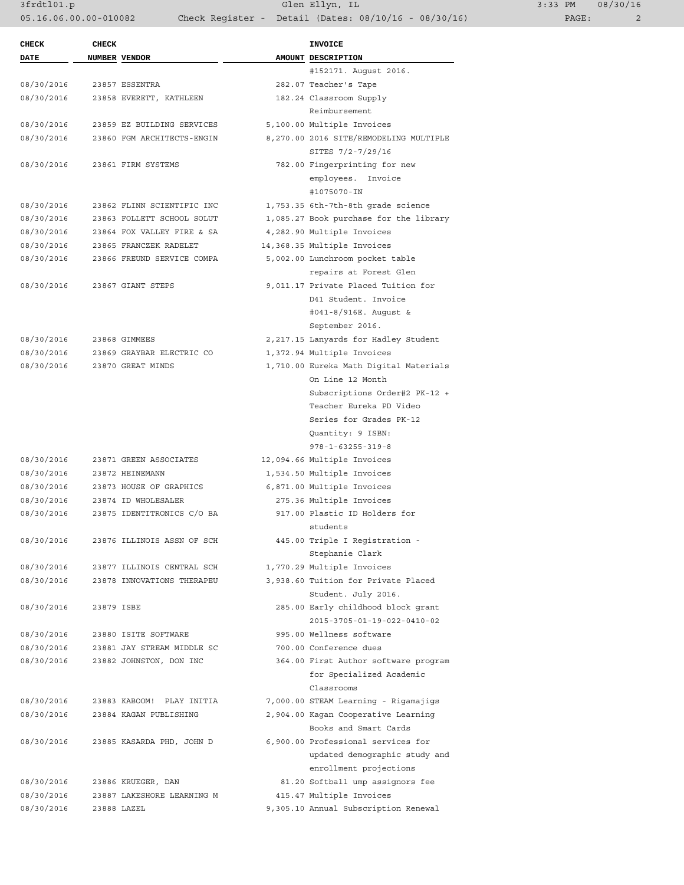3frdtl01.p Glen Ellyn, IL 3:33 PM 08/30/16 05.16.06.00.00-010082 Check Register - Detail (Dates: 08/10/16 - 08/30/16) PAGE: 2

| <b>CHECK</b> | <b>CHECK</b> |                            | INVOICE                                   |
|--------------|--------------|----------------------------|-------------------------------------------|
| <b>DATE</b>  |              | <b>NUMBER VENDOR</b>       | AMOUNT DESCRIPTION                        |
|              |              |                            | #152171. August 2016.                     |
| 08/30/2016   |              | 23857 ESSENTRA             | 282.07 Teacher's Tape                     |
| 08/30/2016   |              | 23858 EVERETT, KATHLEEN    | 182.24 Classroom Supply                   |
|              |              |                            | Reimbursement                             |
| 08/30/2016   |              | 23859 EZ BUILDING SERVICES | 5,100.00 Multiple Invoices                |
| 08/30/2016   |              | 23860 FGM ARCHITECTS-ENGIN | 8,270.00 2016 SITE/REMODELING MULTIPLE    |
|              |              |                            | SITES 7/2-7/29/16                         |
| 08/30/2016   |              | 23861 FIRM SYSTEMS         | 782.00 Fingerprinting for new             |
|              |              |                            | employees. Invoice                        |
|              |              |                            | #1075070-IN                               |
| 08/30/2016   |              | 23862 FLINN SCIENTIFIC INC | 1,753.35 6th-7th-8th grade science        |
| 08/30/2016   |              | 23863 FOLLETT SCHOOL SOLUT | 1,085.27 Book purchase for the library    |
| 08/30/2016   |              | 23864 FOX VALLEY FIRE & SA | 4,282.90 Multiple Invoices                |
| 08/30/2016   |              | 23865 FRANCZEK RADELET     | 14,368.35 Multiple Invoices               |
| 08/30/2016   |              | 23866 FREUND SERVICE COMPA | 5,002.00 Lunchroom pocket table           |
|              |              |                            | repairs at Forest Glen                    |
| 08/30/2016   |              | 23867 GIANT STEPS          | 9,011.17 Private Placed Tuition for       |
|              |              |                            | D41 Student. Invoice                      |
|              |              |                            | #041-8/916E. August &                     |
|              |              |                            | September 2016.                           |
| 08/30/2016   |              | 23868 GIMMEES              | 2,217.15 Lanyards for Hadley Student      |
| 08/30/2016   |              | 23869 GRAYBAR ELECTRIC CO  | 1,372.94 Multiple Invoices                |
| 08/30/2016   |              | 23870 GREAT MINDS          | 1,710.00 Eureka Math Digital Materials    |
|              |              |                            | On Line 12 Month                          |
|              |              |                            | Subscriptions Order#2 PK-12 +             |
|              |              |                            | Teacher Eureka PD Video                   |
|              |              |                            | Series for Grades PK-12                   |
|              |              |                            | Quantity: 9 ISBN:                         |
|              |              |                            | $978 - 1 - 63255 - 319 - 8$               |
| 08/30/2016   |              | 23871 GREEN ASSOCIATES     | 12,094.66 Multiple Invoices               |
| 08/30/2016   |              | 23872 HEINEMANN            | 1,534.50 Multiple Invoices                |
| 08/30/2016   |              | 23873 HOUSE OF GRAPHICS    | 6,871.00 Multiple Invoices                |
| 08/30/2016   |              | 23874 ID WHOLESALER        | 275.36 Multiple Invoices                  |
| 08/30/2016   |              | 23875 IDENTITRONICS C/O BA | 917.00 Plastic ID Holders for             |
|              |              |                            | students                                  |
| 08/30/2016   |              | 23876 ILLINOIS ASSN OF SCH | 445.00 Triple I Registration -            |
|              |              |                            | Stephanie Clark                           |
| 08/30/2016   |              | 23877 ILLINOIS CENTRAL SCH | 1,770.29 Multiple Invoices                |
| 08/30/2016   |              | 23878 INNOVATIONS THERAPEU | 3,938.60 Tuition for Private Placed       |
|              |              |                            | Student. July 2016.                       |
| 08/30/2016   | 23879 ISBE   |                            | 285.00 Early childhood block grant        |
|              |              |                            | $2015 - 3705 - 01 - 19 - 022 - 0410 - 02$ |
| 08/30/2016   |              | 23880 ISITE SOFTWARE       | 995.00 Wellness software                  |
| 08/30/2016   |              | 23881 JAY STREAM MIDDLE SC | 700.00 Conference dues                    |
| 08/30/2016   |              | 23882 JOHNSTON, DON INC    | 364.00 First Author software program      |
|              |              |                            | for Specialized Academic                  |
|              |              |                            | Classrooms                                |
| 08/30/2016   |              | 23883 KABOOM! PLAY INITIA  | 7,000.00 STEAM Learning - Rigamajigs      |
| 08/30/2016   |              | 23884 KAGAN PUBLISHING     | 2,904.00 Kagan Cooperative Learning       |
|              |              |                            | Books and Smart Cards                     |
| 08/30/2016   |              | 23885 KASARDA PHD, JOHN D  | 6,900.00 Professional services for        |
|              |              |                            | updated demographic study and             |
|              |              |                            | enrollment projections                    |
| 08/30/2016   |              | 23886 KRUEGER, DAN         | 81.20 Softball ump assignors fee          |
| 08/30/2016   |              | 23887 LAKESHORE LEARNING M | 415.47 Multiple Invoices                  |
| 08/30/2016   |              | 23888 LAZEL                | 9,305.10 Annual Subscription Renewal      |
|              |              |                            |                                           |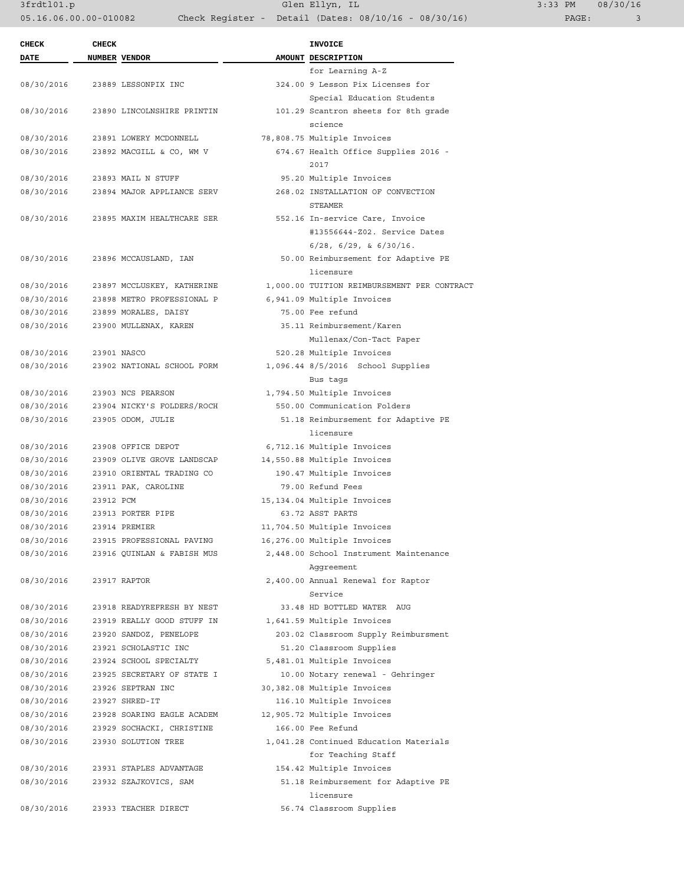3frdtl01.p Glen Ellyn, IL 3:33 PM 08/30/16 05.16.06.00.00-010082 Check Register - Detail (Dates: 08/10/16 - 08/30/16)

| <b>CHECK</b>             | <b>CHECK</b> |                            | <b>INVOICE</b>                                    |
|--------------------------|--------------|----------------------------|---------------------------------------------------|
| DATE                     |              | NUMBER VENDOR              | AMOUNT DESCRIPTION                                |
|                          |              |                            | for Learning A-Z                                  |
| 08/30/2016               |              | 23889 LESSONPIX INC        | 324.00 9 Lesson Pix Licenses for                  |
|                          |              |                            | Special Education Students                        |
| 08/30/2016               |              | 23890 LINCOLNSHIRE PRINTIN | 101.29 Scantron sheets for 8th grade              |
|                          |              |                            | science                                           |
| 08/30/2016               |              | 23891 LOWERY MCDONNELL     | 78,808.75 Multiple Invoices                       |
| 08/30/2016               |              | 23892 MACGILL & CO, WM V   | 674.67 Health Office Supplies 2016 -              |
|                          |              |                            | 2017                                              |
| 08/30/2016               |              | 23893 MAIL N STUFF         | 95.20 Multiple Invoices                           |
| 08/30/2016               |              | 23894 MAJOR APPLIANCE SERV | 268.02 INSTALLATION OF CONVECTION                 |
|                          |              |                            | STEAMER                                           |
| 08/30/2016               |              | 23895 MAXIM HEALTHCARE SER | 552.16 In-service Care, Invoice                   |
|                          |              |                            | #13556644-Z02. Service Dates                      |
|                          |              |                            | $6/28$ , $6/29$ , & $6/30/16$ .                   |
| 08/30/2016               |              | 23896 MCCAUSLAND, IAN      | 50.00 Reimbursement for Adaptive PE               |
|                          |              |                            | licensure                                         |
| 08/30/2016               |              | 23897 MCCLUSKEY, KATHERINE | 1,000.00 TUITION REIMBURSEMENT PER CONTRACT       |
| 08/30/2016               |              | 23898 METRO PROFESSIONAL P | 6,941.09 Multiple Invoices                        |
| 08/30/2016               |              | 23899 MORALES, DAISY       | 75.00 Fee refund                                  |
| 08/30/2016               |              | 23900 MULLENAX, KAREN      | 35.11 Reimbursement/Karen                         |
|                          |              |                            | Mullenax/Con-Tact Paper                           |
| 08/30/2016               |              | 23901 NASCO                | 520.28 Multiple Invoices                          |
| 08/30/2016               |              | 23902 NATIONAL SCHOOL FORM | 1,096.44 8/5/2016 School Supplies                 |
|                          |              |                            | Bus tags                                          |
| 08/30/2016               |              | 23903 NCS PEARSON          | 1,794.50 Multiple Invoices                        |
| 08/30/2016               |              | 23904 NICKY'S FOLDERS/ROCH | 550.00 Communication Folders                      |
| 08/30/2016               |              | 23905 ODOM, JULIE          | 51.18 Reimbursement for Adaptive PE               |
|                          |              |                            | licensure                                         |
| 08/30/2016               |              | 23908 OFFICE DEPOT         | 6,712.16 Multiple Invoices                        |
| 08/30/2016               |              | 23909 OLIVE GROVE LANDSCAP | 14,550.88 Multiple Invoices                       |
| 08/30/2016               |              | 23910 ORIENTAL TRADING CO  | 190.47 Multiple Invoices                          |
| 08/30/2016<br>08/30/2016 | 23912 PCM    | 23911 PAK, CAROLINE        | 79.00 Refund Fees<br>15, 134.04 Multiple Invoices |
| 08/30/2016               |              | 23913 PORTER PIPE          | 63.72 ASST PARTS                                  |
| 08/30/2016               |              | 23914 PREMIER              | 11,704.50 Multiple Invoices                       |
| 08/30/2016               |              | 23915 PROFESSIONAL PAVING  | 16,276.00 Multiple Invoices                       |
| 08/30/2016               |              | 23916 QUINLAN & FABISH MUS | 2,448.00 School Instrument Maintenance            |
|                          |              |                            | Aggreement                                        |
| 08/30/2016               |              | 23917 RAPTOR               | 2,400.00 Annual Renewal for Raptor                |
|                          |              |                            | Service                                           |
| 08/30/2016               |              | 23918 READYREFRESH BY NEST | 33.48 HD BOTTLED WATER AUG                        |
| 08/30/2016               |              | 23919 REALLY GOOD STUFF IN | 1,641.59 Multiple Invoices                        |
| 08/30/2016               |              | 23920 SANDOZ, PENELOPE     | 203.02 Classroom Supply Reimbursment              |
| 08/30/2016               |              | 23921 SCHOLASTIC INC       | 51.20 Classroom Supplies                          |
| 08/30/2016               |              | 23924 SCHOOL SPECIALTY     | 5,481.01 Multiple Invoices                        |
| 08/30/2016               |              | 23925 SECRETARY OF STATE I | 10.00 Notary renewal - Gehringer                  |
| 08/30/2016               |              | 23926 SEPTRAN INC          | 30,382.08 Multiple Invoices                       |
| 08/30/2016               |              | 23927 SHRED-IT             | 116.10 Multiple Invoices                          |
| 08/30/2016               |              | 23928 SOARING EAGLE ACADEM | 12,905.72 Multiple Invoices                       |
| 08/30/2016               |              | 23929 SOCHACKI, CHRISTINE  | 166.00 Fee Refund                                 |
| 08/30/2016               |              | 23930 SOLUTION TREE        | 1,041.28 Continued Education Materials            |
|                          |              |                            | for Teaching Staff                                |
| 08/30/2016               |              | 23931 STAPLES ADVANTAGE    | 154.42 Multiple Invoices                          |
| 08/30/2016               |              | 23932 SZAJKOVICS, SAM      | 51.18 Reimbursement for Adaptive PE               |
|                          |              |                            | licensure                                         |
| 08/30/2016               |              | 23933 TEACHER DIRECT       | 56.74 Classroom Supplies                          |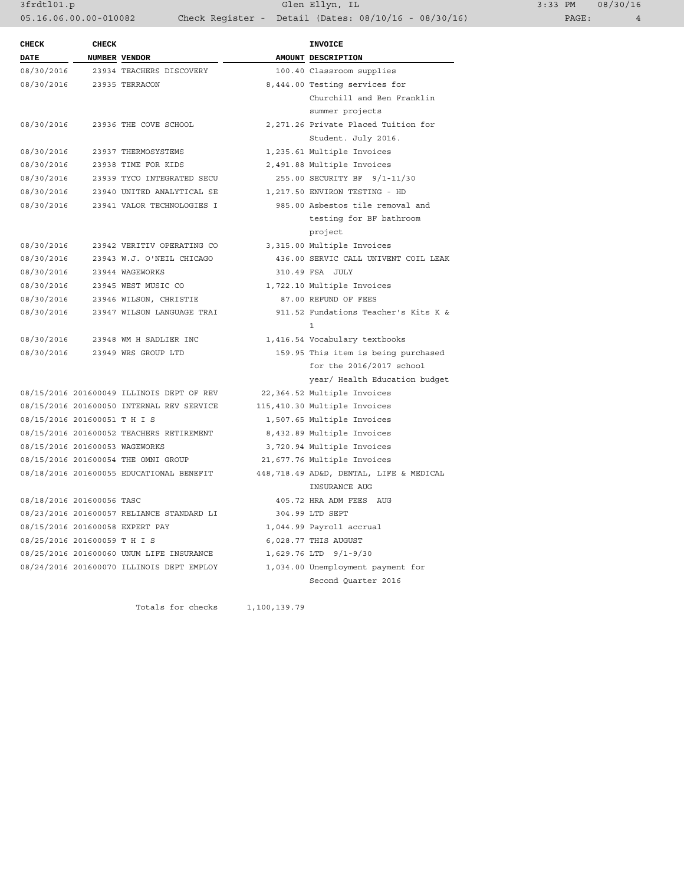3frdtl01.p Glen Ellyn, IL 3:33 PM 08/30/16 05.16.06.00.00-010082 Check Register - Detail (Dates: 08/10/16 - 08/30/16) PAGE: 4

| <b>CHECK</b>                 | <b>CHECK</b>                   |                                           | <b>INVOICE</b>                          |
|------------------------------|--------------------------------|-------------------------------------------|-----------------------------------------|
| <b>DATE</b>                  | NUMBER VENDOR                  |                                           | AMOUNT DESCRIPTION                      |
| 08/30/2016                   |                                | 23934 TEACHERS DISCOVERY                  | 100.40 Classroom supplies               |
| 08/30/2016                   |                                | 23935 TERRACON                            | 8,444.00 Testing services for           |
|                              |                                |                                           | Churchill and Ben Franklin              |
|                              |                                |                                           | summer projects                         |
| 08/30/2016                   |                                | 23936 THE COVE SCHOOL                     | 2,271.26 Private Placed Tuition for     |
|                              |                                |                                           | Student. July 2016.                     |
| 08/30/2016                   |                                | 23937 THERMOSYSTEMS                       | 1,235.61 Multiple Invoices              |
| 08/30/2016                   |                                | 23938 TIME FOR KIDS                       | 2,491.88 Multiple Invoices              |
| 08/30/2016                   |                                | 23939 TYCO INTEGRATED SECU                | 255.00 SECURITY BF 9/1-11/30            |
| 08/30/2016                   |                                | 23940 UNITED ANALYTICAL SE                | 1,217.50 ENVIRON TESTING - HD           |
| 08/30/2016                   |                                | 23941 VALOR TECHNOLOGIES I                | 985.00 Asbestos tile removal and        |
|                              |                                |                                           | testing for BF bathroom                 |
|                              |                                |                                           | project                                 |
| 08/30/2016                   |                                | 23942 VERITIV OPERATING CO                | 3,315.00 Multiple Invoices              |
| 08/30/2016                   |                                | 23943 W.J. O'NEIL CHICAGO                 | 436.00 SERVIC CALL UNIVENT COIL LEAK    |
| 08/30/2016                   |                                | 23944 WAGEWORKS                           | 310.49 FSA JULY                         |
| 08/30/2016                   |                                | 23945 WEST MUSIC CO                       | 1,722.10 Multiple Invoices              |
| 08/30/2016                   |                                | 23946 WILSON, CHRISTIE                    | 87.00 REFUND OF FEES                    |
| 08/30/2016                   |                                | 23947 WILSON LANGUAGE TRAI                | 911.52 Fundations Teacher's Kits K &    |
|                              |                                |                                           | $\mathbf{1}$                            |
| 08/30/2016                   |                                | 23948 WM H SADLIER INC                    | 1,416.54 Vocabulary textbooks           |
| 08/30/2016                   |                                | 23949 WRS GROUP LTD                       | 159.95 This item is being purchased     |
|                              |                                |                                           | for the $2016/2017$ school              |
|                              |                                |                                           | year/ Health Education budget           |
|                              |                                | 08/15/2016 201600049 ILLINOIS DEPT OF REV | 22,364.52 Multiple Invoices             |
|                              |                                | 08/15/2016 201600050 INTERNAL REV SERVICE | 115,410.30 Multiple Invoices            |
| 08/15/2016 201600051 T H I S |                                |                                           | 1,507.65 Multiple Invoices              |
|                              |                                | 08/15/2016 201600052 TEACHERS RETIREMENT  | 8,432.89 Multiple Invoices              |
|                              | 08/15/2016 201600053 WAGEWORKS |                                           | 3,720.94 Multiple Invoices              |
|                              |                                | 08/15/2016 201600054 THE OMNI GROUP       | 21,677.76 Multiple Invoices             |
|                              |                                | 08/18/2016 201600055 EDUCATIONAL BENEFIT  | 448,718.49 AD&D, DENTAL, LIFE & MEDICAL |
|                              |                                |                                           | INSURANCE AUG                           |
| 08/18/2016 201600056 TASC    |                                |                                           | 405.72 HRA ADM FEES AUG                 |
|                              |                                | 08/23/2016 201600057 RELIANCE STANDARD LI | 304.99 LTD SEPT                         |
|                              |                                | 08/15/2016 201600058 EXPERT PAY           | 1,044.99 Payroll accrual                |
| 08/25/2016 201600059 T H I S |                                |                                           | 6,028.77 THIS AUGUST                    |
|                              |                                | 08/25/2016 201600060 UNUM LIFE INSURANCE  | 1,629.76 LTD 9/1-9/30                   |
|                              |                                | 08/24/2016 201600070 ILLINOIS DEPT EMPLOY | 1,034.00 Unemployment payment for       |
|                              |                                |                                           | Second Ouarter 2016                     |

Totals for checks 1,100,139.79